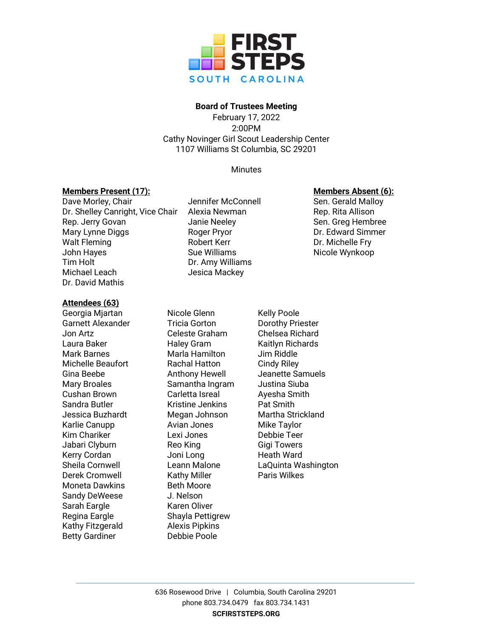

# **Board of Trustees Meeting**

February 17, 2022 2:00PM Cathy Novinger Girl Scout Leadership Center 1107 Williams St Columbia, SC 29201

**Minutes** 

# **Members Present (17): Members Absent (6):**

### Dave Morley, Chair **Sen. Genuise** Jennifer McConnell Sen. Gerald Malloy Dr. Shelley Canright, Vice Chair Alexia Newman Theory Rep. Rita Allison Rep. Jerry Govan **Sen.** Janie Neeley Sen. Greg Hembree Mary Lynne Diggs Roger Pryor Dr. Edward Simmer Walt Fleming **Robert Kerr Primeries In the Communist Communist Communist Communist Communist Communist Communist Communist Communist Communist Communist Communist Communist Communist Communist Communist Communist Communi** John Hayes **Sue Williams** Sue Williams Nicole Wynkoop Tim Holt Dr. Amy Williams Michael Leach Jesica Mackey Dr. David Mathis

# **Attendees (63)**

Georgia Mjartan Nicole Glenn Kelly Poole Garnett Alexander Tricia Gorton Dorothy Priester Jon Artz Celeste Graham Chelsea Richard Laura Baker **Haley Gram** Kaitlyn Richards Mark Barnes **Marla Hamilton** Jim Riddle Michelle Beaufort **Rachal Hatton** Cindy Riley Mary Broales Samantha Ingram Justina Siuba Cushan Brown Carletta Isreal Ayesha Smith Sandra Butler **Kristine Jenkins** Pat Smith Karlie Canupp **Avian Jones** Mike Taylor Kim Chariker Lexi Jones Debbie Teer Jabari Clyburn **Reo King** Gigi Towers Kerry Cordan **Martia Communion** Joni Long **Heath Ward** Derek Cromwell **Kathy Miller** Paris Wilkes Moneta Dawkins **Beth Moore** Sandy DeWeese J. Nelson Sarah Eargle Karen Oliver Regina Eargle Shayla Pettigrew Kathy Fitzgerald Alexis Pipkins Betty Gardiner **Debbie Poole** 

Gina Beebe **Anthony Hewell** Jeanette Samuels Jessica Buzhardt Megan Johnson Martha Strickland Sheila Cornwell Leann Malone LaQuinta Washington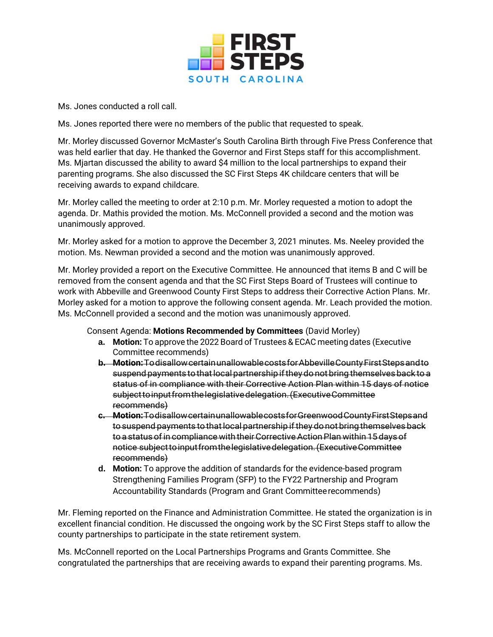

Ms. Jones conducted a roll call.

Ms. Jones reported there were no members of the public that requested to speak.

Mr. Morley discussed Governor McMaster's South Carolina Birth through Five Press Conference that was held earlier that day. He thanked the Governor and First Steps staff for this accomplishment. Ms. Mjartan discussed the ability to award \$4 million to the local partnerships to expand their parenting programs. She also discussed the SC First Steps 4K childcare centers that will be receiving awards to expand childcare.

Mr. Morley called the meeting to order at 2:10 p.m. Mr. Morley requested a motion to adopt the agenda. Dr. Mathis provided the motion. Ms. McConnell provided a second and the motion was unanimously approved.

Mr. Morley asked for a motion to approve the December 3, 2021 minutes. Ms. Neeley provided the motion. Ms. Newman provided a second and the motion was unanimously approved.

Mr. Morley provided a report on the Executive Committee. He announced that items B and C will be removed from the consent agenda and that the SC First Steps Board of Trustees will continue to work with Abbeville and Greenwood County First Steps to address their Corrective Action Plans. Mr. Morley asked for a motion to approve the following consent agenda. Mr. Leach provided the motion. Ms. McConnell provided a second and the motion was unanimously approved.

Consent Agenda: **Motions Recommended by Committees** (David Morley)

- **a. Motion:** To approve the 2022 Board of Trustees & ECAC meeting dates (Executive Committee recommends)
- **b.** Motion: Todisallow certain unallowable costs for Abbeville County First Steps and to suspendpayments tothatlocalpartnership iftheydonot bringthemselvesback toa status of in compliance with their Corrective Action Plan within 15 days of notice subjecttoinputfromthelegislativedelegation.(ExecutiveCommittee recommends)
- **c. Motion:**TodisallowcertainunallowablecostsforGreenwoodCountyFirstStepsand to suspend payments to that local partnership if they do not bring themselves back to a status of in compliance with their Corrective Action Plan within 15 days of notice subjecttoinputfromthelegislativedelegation.(ExecutiveCommittee recommends)
- **d. Motion:** To approve the addition of standards for the evidence-based program Strengthening Families Program (SFP) to the FY22 Partnership and Program Accountability Standards (Program and Grant Committeerecommends)

Mr. Fleming reported on the Finance and Administration Committee. He stated the organization is in excellent financial condition. He discussed the ongoing work by the SC First Steps staff to allow the county partnerships to participate in the state retirement system.

Ms. McConnell reported on the Local Partnerships Programs and Grants Committee. She congratulated the partnerships that are receiving awards to expand their parenting programs. Ms.